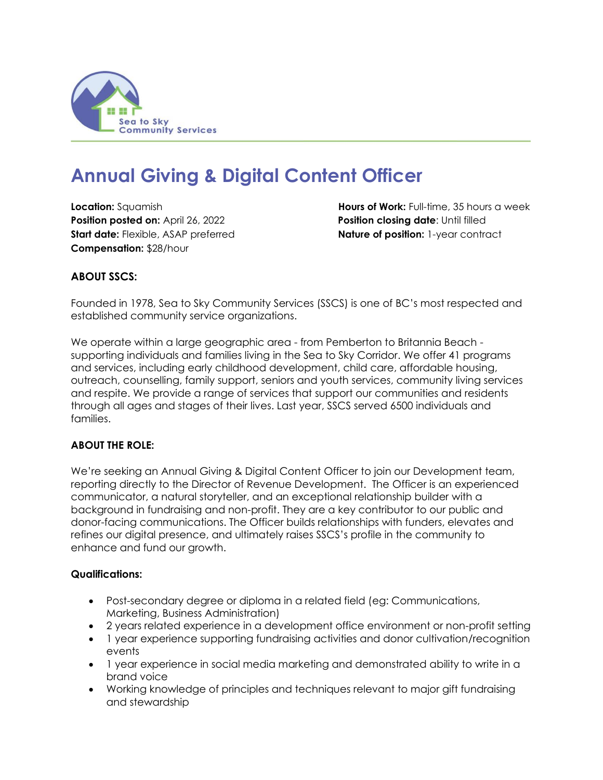

# **Annual Giving & Digital Content Officer**

**Position posted on:** April 26, 2022 **Position closing date**: Until filled **Start date:** Flexible, ASAP preferred **Nature of position:** 1-year contract **Compensation:** \$28/hour

**Location:** Squamish **Hours of Work:** Full-time, 35 hours a week

## **ABOUT SSCS:**

Founded in 1978, Sea to Sky Community Services (SSCS) is one of BC's most respected and established community service organizations.

We operate within a large geographic area - from Pemberton to Britannia Beach supporting individuals and families living in the Sea to Sky Corridor. We offer 41 programs and services, including early childhood development, child care, affordable housing, outreach, counselling, family support, seniors and youth services, community living services and respite. We provide a range of services that support our communities and residents through all ages and stages of their lives. Last year, SSCS served 6500 individuals and families.

## **ABOUT THE ROLE:**

We're seeking an Annual Giving & Digital Content Officer to join our Development team, reporting directly to the Director of Revenue Development. The Officer is an experienced communicator, a natural storyteller, and an exceptional relationship builder with a background in fundraising and non-profit. They are a key contributor to our public and donor-facing communications. The Officer builds relationships with funders, elevates and refines our digital presence, and ultimately raises SSCS's profile in the community to enhance and fund our growth.

## **Qualifications:**

- Post-secondary degree or diploma in a related field (eg: Communications, Marketing, Business Administration)
- 2 years related experience in a development office environment or non-profit setting
- 1 year experience supporting fundraising activities and donor cultivation/recognition events
- 1 year experience in social media marketing and demonstrated ability to write in a brand voice
- Working knowledge of principles and techniques relevant to major gift fundraising and stewardship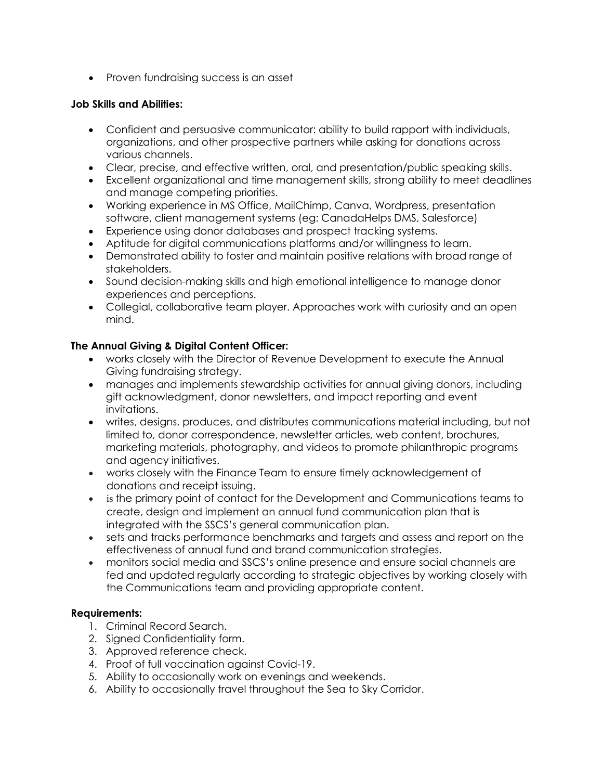• Proven fundraising success is an asset

#### **Job Skills and Abilities:**

- Confident and persuasive communicator: ability to build rapport with individuals, organizations, and other prospective partners while asking for donations across various channels.
- Clear, precise, and effective written, oral, and presentation/public speaking skills.
- Excellent organizational and time management skills, strong ability to meet deadlines and manage competing priorities.
- Working experience in MS Office, MailChimp, Canva, Wordpress, presentation software, client management systems (eg: CanadaHelps DMS, Salesforce)
- Experience using donor databases and prospect tracking systems.
- Aptitude for digital communications platforms and/or willingness to learn.
- Demonstrated ability to foster and maintain positive relations with broad range of stakeholders.
- Sound decision-making skills and high emotional intelligence to manage donor experiences and perceptions.
- Collegial, collaborative team player. Approaches work with curiosity and an open mind.

## **The Annual Giving & Digital Content Officer:**

- works closely with the Director of Revenue Development to execute the Annual Giving fundraising strategy.
- manages and implements stewardship activities for annual giving donors, including gift acknowledgment, donor newsletters, and impact reporting and event invitations.
- writes, designs, produces, and distributes communications material including, but not limited to, donor correspondence, newsletter articles, web content, brochures, marketing materials, photography, and videos to promote philanthropic programs and agency initiatives.
- works closely with the Finance Team to ensure timely acknowledgement of donations and receipt issuing.
- is the primary point of contact for the Development and Communications teams to create, design and implement an annual fund communication plan that is integrated with the SSCS's general communication plan.
- sets and tracks performance benchmarks and targets and assess and report on the effectiveness of annual fund and brand communication strategies.
- monitors social media and SSCS's online presence and ensure social channels are fed and updated regularly according to strategic objectives by working closely with the Communications team and providing appropriate content.

## **Requirements:**

- 1. Criminal Record Search.
- 2. Signed Confidentiality form.
- 3. Approved reference check.
- 4. Proof of full vaccination against Covid-19.
- 5. Ability to occasionally work on evenings and weekends.
- 6. Ability to occasionally travel throughout the Sea to Sky Corridor.